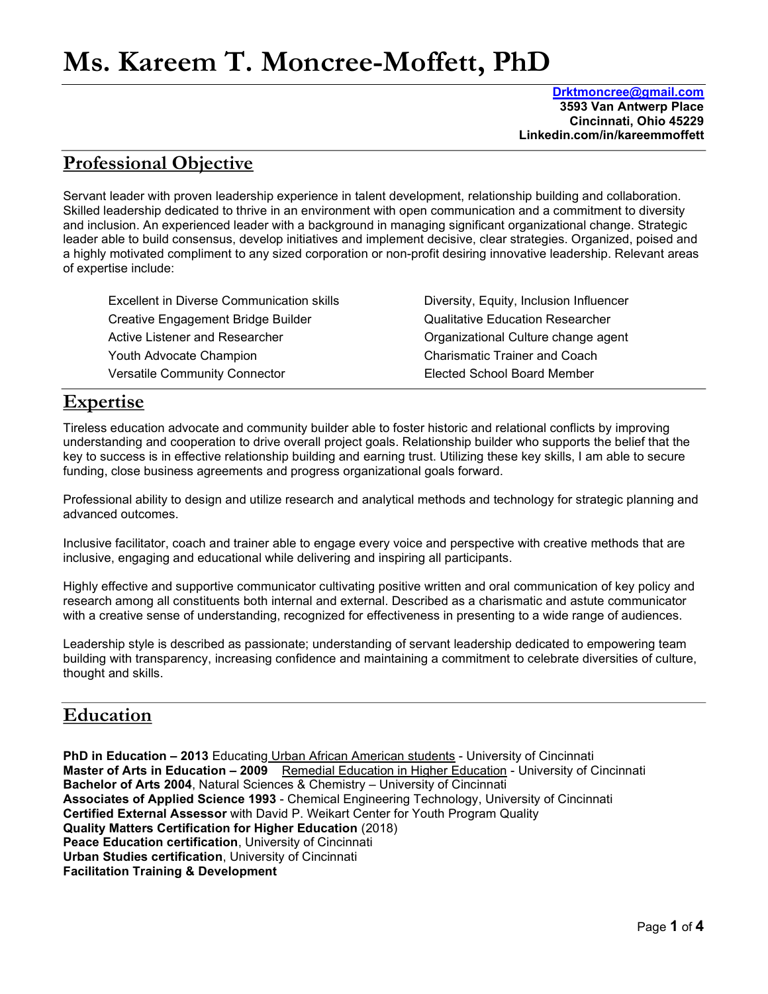# Ms. Kareem T. Moncree-Moffett, PhD

 Drktmoncree@gmail.com 3593 Van Antwerp Place Cincinnati, Ohio 45229 Linkedin.com/in/kareemmoffett

## Professional Objective

Servant leader with proven leadership experience in talent development, relationship building and collaboration. Skilled leadership dedicated to thrive in an environment with open communication and a commitment to diversity and inclusion. An experienced leader with a background in managing significant organizational change. Strategic leader able to build consensus, develop initiatives and implement decisive, clear strategies. Organized, poised and a highly motivated compliment to any sized corporation or non-profit desiring innovative leadership. Relevant areas of expertise include:

| Excellent in Diverse Communication skills | Diversity, Equity, Inclusion Influencer |
|-------------------------------------------|-----------------------------------------|
| Creative Engagement Bridge Builder        | <b>Qualitative Education Researcher</b> |
| Active Listener and Researcher            | Organizational Culture change agent     |
| Youth Advocate Champion                   | <b>Charismatic Trainer and Coach</b>    |
| <b>Versatile Community Connector</b>      | Elected School Board Member             |

## Expertise

Tireless education advocate and community builder able to foster historic and relational conflicts by improving understanding and cooperation to drive overall project goals. Relationship builder who supports the belief that the key to success is in effective relationship building and earning trust. Utilizing these key skills, I am able to secure funding, close business agreements and progress organizational goals forward.

Professional ability to design and utilize research and analytical methods and technology for strategic planning and advanced outcomes.

Inclusive facilitator, coach and trainer able to engage every voice and perspective with creative methods that are inclusive, engaging and educational while delivering and inspiring all participants.

Highly effective and supportive communicator cultivating positive written and oral communication of key policy and research among all constituents both internal and external. Described as a charismatic and astute communicator with a creative sense of understanding, recognized for effectiveness in presenting to a wide range of audiences.

Leadership style is described as passionate; understanding of servant leadership dedicated to empowering team building with transparency, increasing confidence and maintaining a commitment to celebrate diversities of culture, thought and skills.

## Education

PhD in Education - 2013 Educating Urban African American students - University of Cincinnati Master of Arts in Education - 2009 Remedial Education in Higher Education - University of Cincinnati Bachelor of Arts 2004, Natural Sciences & Chemistry – University of Cincinnati Associates of Applied Science 1993 - Chemical Engineering Technology, University of Cincinnati Certified External Assessor with David P. Weikart Center for Youth Program Quality Quality Matters Certification for Higher Education (2018) Peace Education certification, University of Cincinnati Urban Studies certification, University of Cincinnati Facilitation Training & Development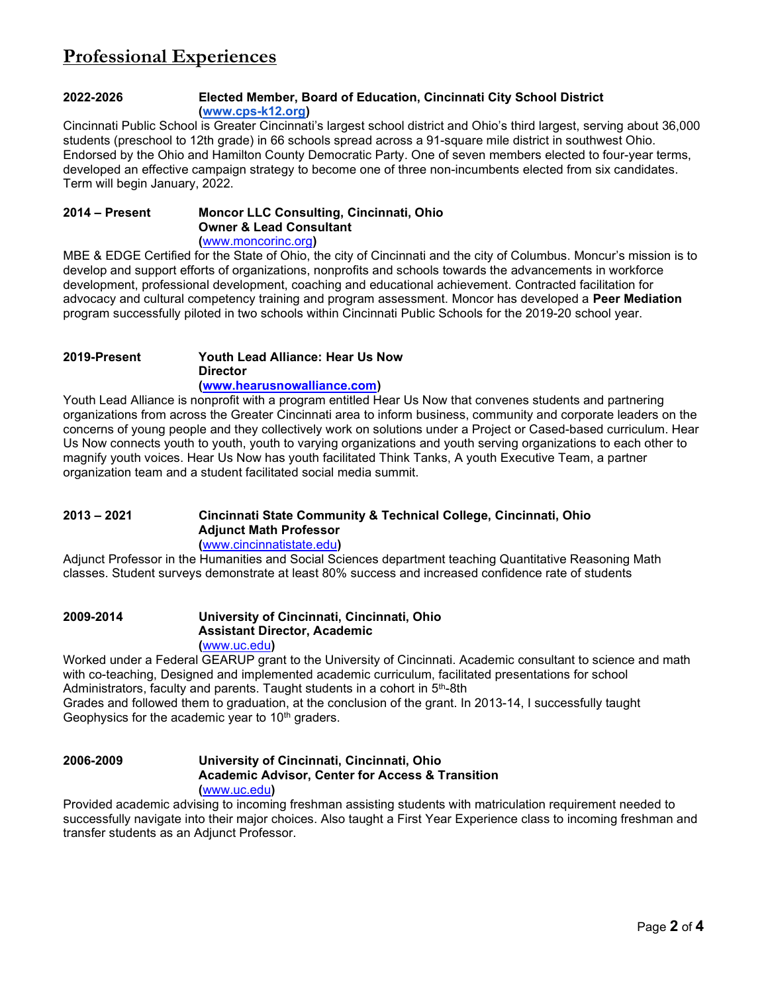## Professional Experiences

#### 2022-2026 Elected Member, Board of Education, Cincinnati City School District (www.cps-k12.org)

Cincinnati Public School is Greater Cincinnati's largest school district and Ohio's third largest, serving about 36,000 students (preschool to 12th grade) in 66 schools spread across a 91-square mile district in southwest Ohio. Endorsed by the Ohio and Hamilton County Democratic Party. One of seven members elected to four-year terms, developed an effective campaign strategy to become one of three non-incumbents elected from six candidates. Term will begin January, 2022.

### 2014 – Present Moncor LLC Consulting, Cincinnati, Ohio Owner & Lead Consultant (www.moncorinc.org)

MBE & EDGE Certified for the State of Ohio, the city of Cincinnati and the city of Columbus. Moncur's mission is to develop and support efforts of organizations, nonprofits and schools towards the advancements in workforce development, professional development, coaching and educational achievement. Contracted facilitation for advocacy and cultural competency training and program assessment. Moncor has developed a Peer Mediation program successfully piloted in two schools within Cincinnati Public Schools for the 2019-20 school year.

### 2019-Present Youth Lead Alliance: Hear Us Now **Director** (www.hearusnowalliance.com)

Youth Lead Alliance is nonprofit with a program entitled Hear Us Now that convenes students and partnering organizations from across the Greater Cincinnati area to inform business, community and corporate leaders on the concerns of young people and they collectively work on solutions under a Project or Cased-based curriculum. Hear Us Now connects youth to youth, youth to varying organizations and youth serving organizations to each other to magnify youth voices. Hear Us Now has youth facilitated Think Tanks, A youth Executive Team, a partner organization team and a student facilitated social media summit.

## 2013 – 2021 Cincinnati State Community & Technical College, Cincinnati, Ohio Adjunct Math Professor (www.cincinnatistate.edu)

Adjunct Professor in the Humanities and Social Sciences department teaching Quantitative Reasoning Math classes. Student surveys demonstrate at least 80% success and increased confidence rate of students

#### 2009-2014 University of Cincinnati, Cincinnati, Ohio Assistant Director, Academic (www.uc.edu)

Worked under a Federal GEARUP grant to the University of Cincinnati. Academic consultant to science and math with co-teaching, Designed and implemented academic curriculum, facilitated presentations for school Administrators, faculty and parents. Taught students in a cohort in 5th-8th Grades and followed them to graduation, at the conclusion of the grant. In 2013-14, I successfully taught

Geophysics for the academic year to  $10<sup>th</sup>$  graders.

## 2006-2009 University of Cincinnati, Cincinnati, Ohio Academic Advisor, Center for Access & Transition (www.uc.edu)

Provided academic advising to incoming freshman assisting students with matriculation requirement needed to successfully navigate into their major choices. Also taught a First Year Experience class to incoming freshman and transfer students as an Adjunct Professor.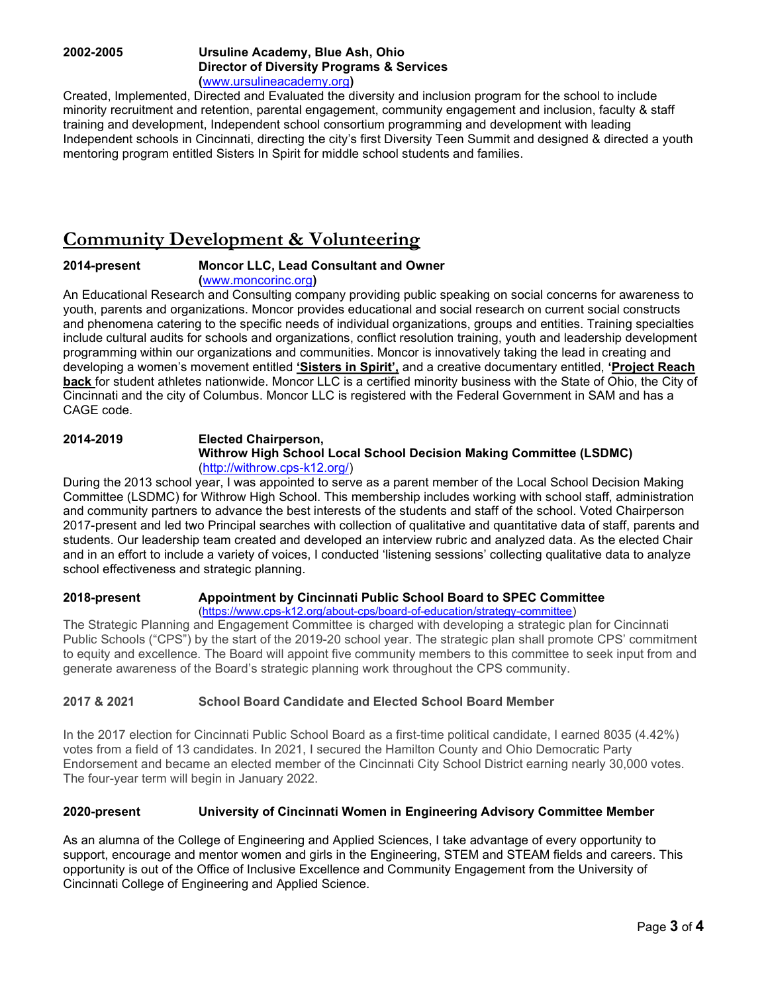## 2002-2005 Ursuline Academy, Blue Ash, Ohio Director of Diversity Programs & Services (www.ursulineacademy.org)

Created, Implemented, Directed and Evaluated the diversity and inclusion program for the school to include minority recruitment and retention, parental engagement, community engagement and inclusion, faculty & staff training and development, Independent school consortium programming and development with leading Independent schools in Cincinnati, directing the city's first Diversity Teen Summit and designed & directed a youth mentoring program entitled Sisters In Spirit for middle school students and families.

## Community Development & Volunteering

## 2014-present Moncor LLC, Lead Consultant and Owner

(www.moncorinc.org)

An Educational Research and Consulting company providing public speaking on social concerns for awareness to youth, parents and organizations. Moncor provides educational and social research on current social constructs and phenomena catering to the specific needs of individual organizations, groups and entities. Training specialties include cultural audits for schools and organizations, conflict resolution training, youth and leadership development programming within our organizations and communities. Moncor is innovatively taking the lead in creating and developing a women's movement entitled 'Sisters in Spirit', and a creative documentary entitled, 'Project Reach back for student athletes nationwide. Moncor LLC is a certified minority business with the State of Ohio, the City of Cincinnati and the city of Columbus. Moncor LLC is registered with the Federal Government in SAM and has a CAGE code.

## 2014-2019 Elected Chairperson, Withrow High School Local School Decision Making Committee (LSDMC) (http://withrow.cps-k12.org/)

During the 2013 school year, I was appointed to serve as a parent member of the Local School Decision Making Committee (LSDMC) for Withrow High School. This membership includes working with school staff, administration and community partners to advance the best interests of the students and staff of the school. Voted Chairperson 2017-present and led two Principal searches with collection of qualitative and quantitative data of staff, parents and students. Our leadership team created and developed an interview rubric and analyzed data. As the elected Chair and in an effort to include a variety of voices, I conducted 'listening sessions' collecting qualitative data to analyze school effectiveness and strategic planning.

#### 2018-present Appointment by Cincinnati Public School Board to SPEC Committee (https://www.cps-k12.org/about-cps/board-of-education/strategy-committee)

The Strategic Planning and Engagement Committee is charged with developing a strategic plan for Cincinnati Public Schools ("CPS") by the start of the 2019-20 school year. The strategic plan shall promote CPS' commitment to equity and excellence. The Board will appoint five community members to this committee to seek input from and generate awareness of the Board's strategic planning work throughout the CPS community.

## 2017 & 2021 School Board Candidate and Elected School Board Member

In the 2017 election for Cincinnati Public School Board as a first-time political candidate, I earned 8035 (4.42%) votes from a field of 13 candidates. In 2021, I secured the Hamilton County and Ohio Democratic Party Endorsement and became an elected member of the Cincinnati City School District earning nearly 30,000 votes. The four-year term will begin in January 2022.

## 2020-present University of Cincinnati Women in Engineering Advisory Committee Member

As an alumna of the College of Engineering and Applied Sciences, I take advantage of every opportunity to support, encourage and mentor women and girls in the Engineering, STEM and STEAM fields and careers. This opportunity is out of the Office of Inclusive Excellence and Community Engagement from the University of Cincinnati College of Engineering and Applied Science.